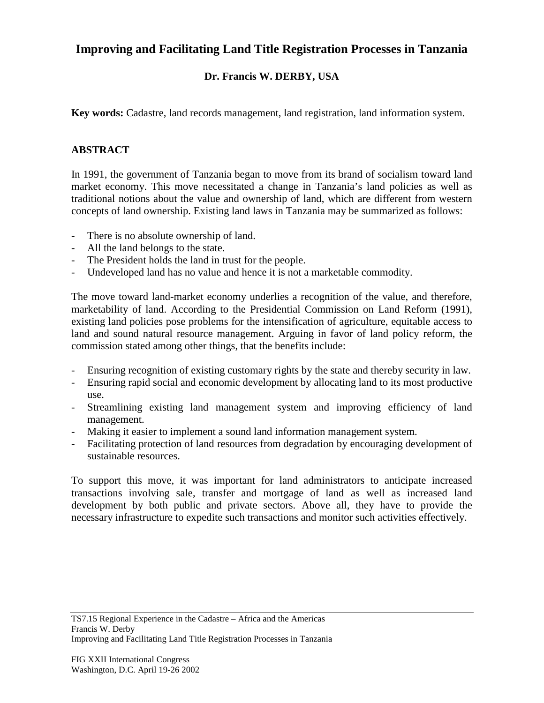## **Improving and Facilitating Land Title Registration Processes in Tanzania**

## **Dr. Francis W. DERBY, USA**

**Key words:** Cadastre, land records management, land registration, land information system.

## **ABSTRACT**

In 1991, the government of Tanzania began to move from its brand of socialism toward land market economy. This move necessitated a change in Tanzania's land policies as well as traditional notions about the value and ownership of land, which are different from western concepts of land ownership. Existing land laws in Tanzania may be summarized as follows:

- There is no absolute ownership of land.
- All the land belongs to the state.
- The President holds the land in trust for the people.
- Undeveloped land has no value and hence it is not a marketable commodity.

The move toward land-market economy underlies a recognition of the value, and therefore, marketability of land. According to the Presidential Commission on Land Reform (1991), existing land policies pose problems for the intensification of agriculture, equitable access to land and sound natural resource management. Arguing in favor of land policy reform, the commission stated among other things, that the benefits include:

- Ensuring recognition of existing customary rights by the state and thereby security in law.
- Ensuring rapid social and economic development by allocating land to its most productive use.
- Streamlining existing land management system and improving efficiency of land management.
- Making it easier to implement a sound land information management system.
- Facilitating protection of land resources from degradation by encouraging development of sustainable resources.

To support this move, it was important for land administrators to anticipate increased transactions involving sale, transfer and mortgage of land as well as increased land development by both public and private sectors. Above all, they have to provide the necessary infrastructure to expedite such transactions and monitor such activities effectively.